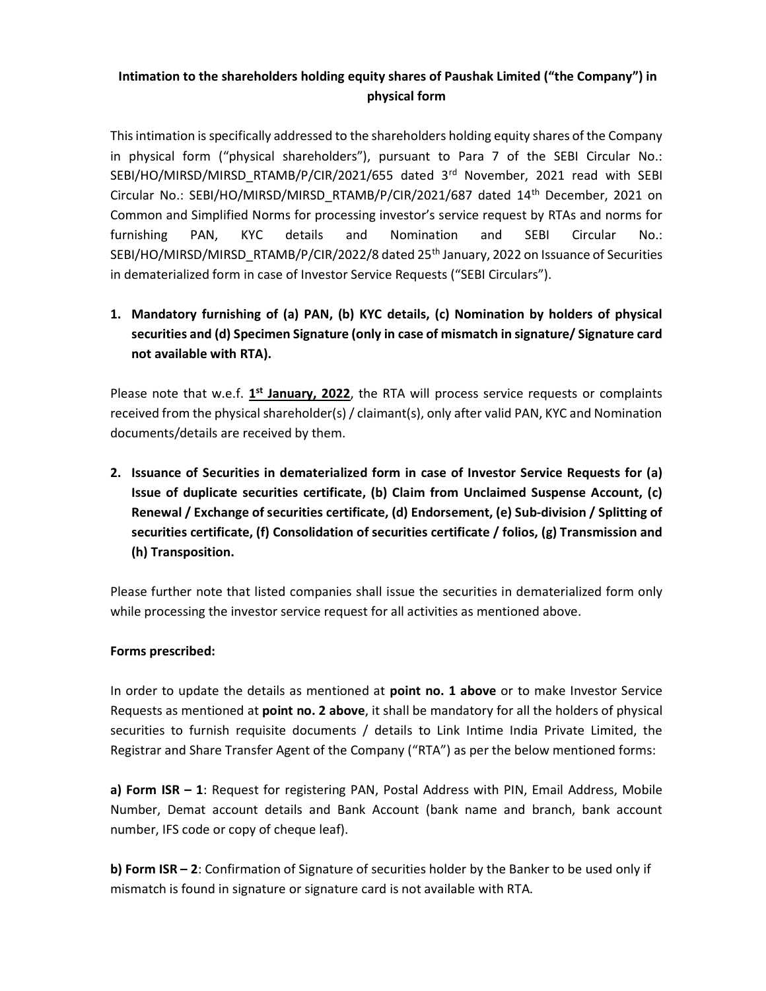## Intimation to the shareholders holding equity shares of Paushak Limited ("the Company") in physical form

This intimation is specifically addressed to the shareholders holding equity shares of the Company in physical form ("physical shareholders"), pursuant to Para 7 of the SEBI Circular No.: SEBI/HO/MIRSD/MIRSD\_RTAMB/P/CIR/2021/655 dated 3rd November, 2021 read with SEBI Circular No.: SEBI/HO/MIRSD/MIRSD\_RTAMB/P/CIR/2021/687 dated 14th December, 2021 on Common and Simplified Norms for processing investor's service request by RTAs and norms for furnishing PAN, KYC details and Nomination and SEBI Circular No.: SEBI/HO/MIRSD/MIRSD\_RTAMB/P/CIR/2022/8 dated 25<sup>th</sup> January, 2022 on Issuance of Securities in dematerialized form in case of Investor Service Requests ("SEBI Circulars").

## 1. Mandatory furnishing of (a) PAN, (b) KYC details, (c) Nomination by holders of physical securities and (d) Specimen Signature (only in case of mismatch in signature/ Signature card not available with RTA).

Please note that w.e.f. 1<sup>st</sup> January, 2022, the RTA will process service requests or complaints received from the physical shareholder(s) / claimant(s), only after valid PAN, KYC and Nomination documents/details are received by them.

2. Issuance of Securities in dematerialized form in case of Investor Service Requests for (a) Issue of duplicate securities certificate, (b) Claim from Unclaimed Suspense Account, (c) Renewal / Exchange of securities certificate, (d) Endorsement, (e) Sub-division / Splitting of securities certificate, (f) Consolidation of securities certificate / folios, (g) Transmission and (h) Transposition.

Please further note that listed companies shall issue the securities in dematerialized form only while processing the investor service request for all activities as mentioned above.

## Forms prescribed:

In order to update the details as mentioned at **point no. 1 above** or to make Investor Service Requests as mentioned at **point no. 2 above**, it shall be mandatory for all the holders of physical securities to furnish requisite documents / details to Link Intime India Private Limited, the Registrar and Share Transfer Agent of the Company ("RTA") as per the below mentioned forms:

a) Form ISR - 1: Request for registering PAN, Postal Address with PIN, Email Address, Mobile Number, Demat account details and Bank Account (bank name and branch, bank account number, IFS code or copy of cheque leaf).

b) Form ISR - 2: Confirmation of Signature of securities holder by the Banker to be used only if mismatch is found in signature or signature card is not available with RTA.